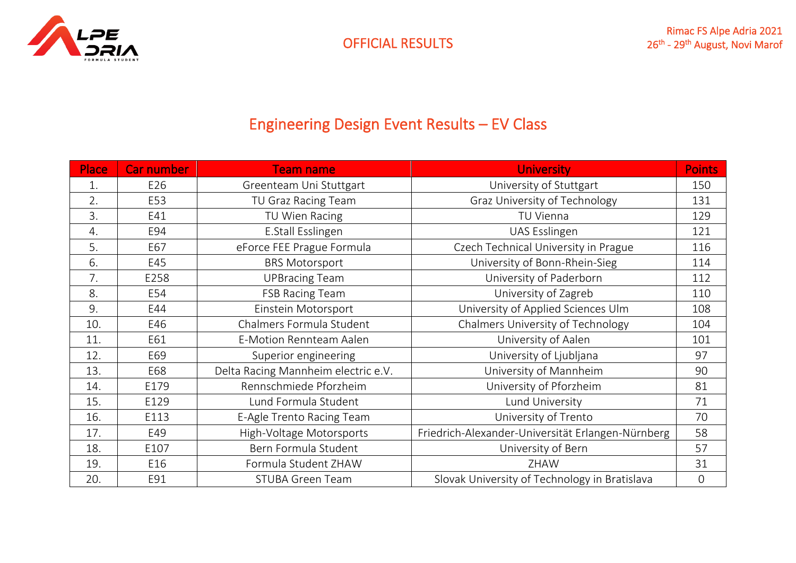

# Engineering Design Event Results – EV Class

| Place | <b>Car number</b> | <b>Team name</b>                    | <b>University</b>                                 | <b>Points</b> |
|-------|-------------------|-------------------------------------|---------------------------------------------------|---------------|
| 1.    | E26               | Greenteam Uni Stuttgart             | University of Stuttgart                           | 150           |
| 2.    | E53               | TU Graz Racing Team                 | Graz University of Technology                     | 131           |
| 3.    | E41               | TU Wien Racing                      | TU Vienna                                         |               |
| 4.    | E94               | E.Stall Esslingen                   | UAS Esslingen                                     | 121           |
| 5.    | E67               | eForce FEE Prague Formula           | Czech Technical University in Prague              | 116           |
| 6.    | E45               | <b>BRS Motorsport</b>               | University of Bonn-Rhein-Sieg                     | 114           |
| 7.    | E258              | <b>UPBracing Team</b>               | University of Paderborn                           | 112           |
| 8.    | E54               | <b>FSB Racing Team</b>              | University of Zagreb                              | 110           |
| 9.    | E44               | Einstein Motorsport                 | University of Applied Sciences Ulm                |               |
| 10.   | E46               | Chalmers Formula Student            | Chalmers University of Technology                 |               |
| 11.   | E61               | E-Motion Rennteam Aalen             | University of Aalen                               | 101           |
| 12.   | E69               | Superior engineering                | University of Ljubljana                           | 97            |
| 13.   | E68               | Delta Racing Mannheim electric e.V. | University of Mannheim                            | 90            |
| 14.   | E179              | Rennschmiede Pforzheim              | University of Pforzheim                           | 81            |
| 15.   | E129              | Lund Formula Student                | Lund University                                   | 71            |
| 16.   | E113              | E-Agle Trento Racing Team           | University of Trento                              | 70            |
| 17.   | E49               | High-Voltage Motorsports            | Friedrich-Alexander-Universität Erlangen-Nürnberg | 58            |
| 18.   | E107              | Bern Formula Student                | University of Bern                                | 57            |
| 19.   | E16               | Formula Student ZHAW                | ZHAW                                              | 31            |
| 20.   | E91               | <b>STUBA Green Team</b>             | Slovak University of Technology in Bratislava     | $\mathbf 0$   |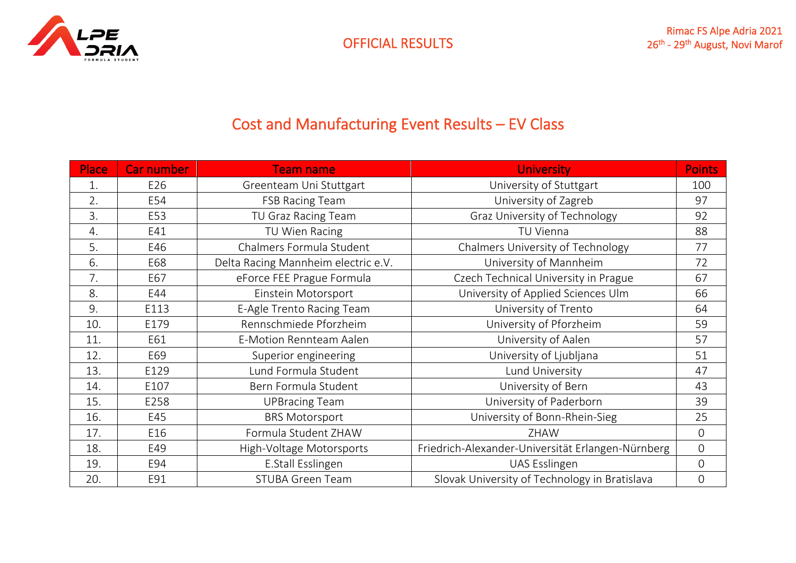

## Cost and Manufacturing Event Results – EV Class

| Place | <b>Car number</b> | <b>Team name</b>                    | <b>University</b>                                 | <b>Points</b>  |
|-------|-------------------|-------------------------------------|---------------------------------------------------|----------------|
| 1.    | E26               | Greenteam Uni Stuttgart             | University of Stuttgart                           | 100            |
| 2.    | E54               | <b>FSB Racing Team</b>              | University of Zagreb                              | 97             |
| 3.    | E53               | TU Graz Racing Team                 | Graz University of Technology                     | 92             |
| 4.    | E41               | TU Wien Racing                      | TU Vienna                                         | 88             |
| 5.    | E46               | Chalmers Formula Student            | Chalmers University of Technology                 | 77             |
| 6.    | E68               | Delta Racing Mannheim electric e.V. | University of Mannheim                            | 72             |
| 7.    | E67               | eForce FEE Prague Formula           | Czech Technical University in Prague              | 67             |
| 8.    | E44               | Einstein Motorsport                 | University of Applied Sciences Ulm                |                |
| 9.    | E113              | E-Agle Trento Racing Team           | University of Trento                              |                |
| 10.   | E179              | Rennschmiede Pforzheim              | University of Pforzheim                           |                |
| 11.   | E61               | E-Motion Rennteam Aalen             | University of Aalen                               | 57             |
| 12.   | E69               | Superior engineering                | University of Ljubljana                           | 51             |
| 13.   | E129              | Lund Formula Student                | Lund University                                   | 47             |
| 14.   | E107              | Bern Formula Student                | University of Bern                                | 43             |
| 15.   | E258              | <b>UPBracing Team</b>               | University of Paderborn                           | 39             |
| 16.   | E45               | <b>BRS Motorsport</b>               | University of Bonn-Rhein-Sieg                     | 25             |
| 17.   | E16               | Formula Student ZHAW                | ZHAW                                              | $\overline{0}$ |
| 18.   | E49               | High-Voltage Motorsports            | Friedrich-Alexander-Universität Erlangen-Nürnberg | $\overline{0}$ |
| 19.   | E94               | E.Stall Esslingen                   | UAS Esslingen                                     | $\overline{0}$ |
| 20.   | E91               | <b>STUBA Green Team</b>             | Slovak University of Technology in Bratislava     | $\mathbf 0$    |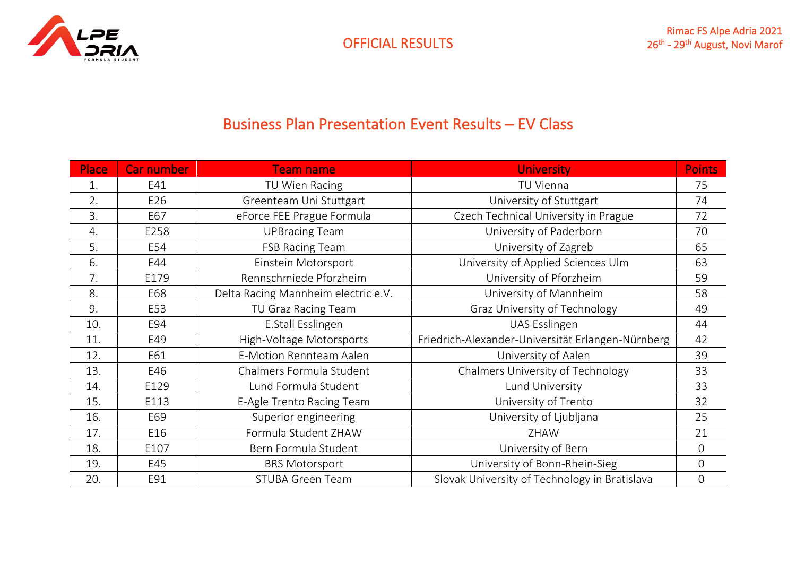

#### Business Plan Presentation Event Results – EV Class

| Place | Car number | <b>Team name</b>                    | <b>University</b>                                 | <b>Points</b>  |
|-------|------------|-------------------------------------|---------------------------------------------------|----------------|
| 1.    | E41        | TU Wien Racing                      | TU Vienna                                         | 75             |
| 2.    | E26        | Greenteam Uni Stuttgart             | University of Stuttgart                           | 74             |
| 3.    | E67        | eForce FEE Prague Formula           | Czech Technical University in Prague              | 72             |
| 4.    | E258       | <b>UPBracing Team</b>               | University of Paderborn                           | 70             |
| 5.    | E54        | <b>FSB Racing Team</b>              | University of Zagreb                              | 65             |
| 6.    | E44        | Einstein Motorsport                 | University of Applied Sciences Ulm                | 63             |
| 7.    | E179       | Rennschmiede Pforzheim              | University of Pforzheim                           | 59             |
| 8.    | E68        | Delta Racing Mannheim electric e.V. | University of Mannheim                            | 58             |
| 9.    | E53        | TU Graz Racing Team                 | Graz University of Technology                     |                |
| 10.   | E94        | E.Stall Esslingen                   | UAS Esslingen                                     |                |
| 11.   | E49        | High-Voltage Motorsports            | Friedrich-Alexander-Universität Erlangen-Nürnberg | 42             |
| 12.   | E61        | <b>E-Motion Rennteam Aalen</b>      | University of Aalen                               | 39             |
| 13.   | E46        | Chalmers Formula Student            | Chalmers University of Technology                 | 33             |
| 14.   | E129       | Lund Formula Student                | Lund University                                   | 33             |
| 15.   | E113       | E-Agle Trento Racing Team           | University of Trento                              | 32             |
| 16.   | E69        | Superior engineering                | University of Ljubljana                           | 25             |
| 17.   | E16        | Formula Student ZHAW                | ZHAW                                              | 21             |
| 18.   | E107       | Bern Formula Student                | University of Bern                                | $\overline{0}$ |
| 19.   | E45        | <b>BRS Motorsport</b>               | University of Bonn-Rhein-Sieg                     | $\overline{0}$ |
| 20.   | E91        | <b>STUBA Green Team</b>             | Slovak University of Technology in Bratislava     | $\mathbf 0$    |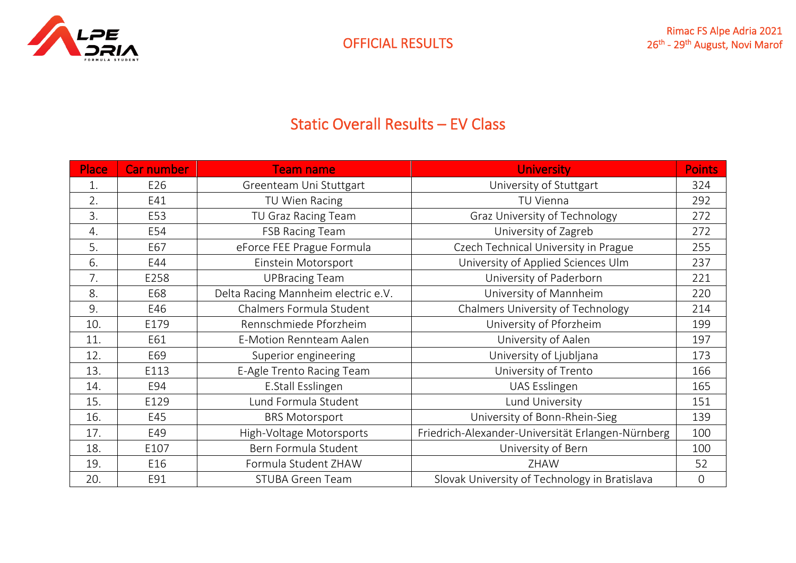

## Static Overall Results – EV Class

| <b>Place</b> | <b>Car number</b> | <b>Team name</b>                    | <b>University</b>                                 | <b>Points</b> |
|--------------|-------------------|-------------------------------------|---------------------------------------------------|---------------|
| 1.           | E26               | Greenteam Uni Stuttgart             | University of Stuttgart                           | 324           |
| 2.           | E41               | TU Wien Racing                      | TU Vienna                                         |               |
| 3.           | E53               | TU Graz Racing Team                 | Graz University of Technology                     | 272           |
| 4.           | E54               | <b>FSB Racing Team</b>              | University of Zagreb                              | 272           |
| 5.           | E67               | eForce FEE Prague Formula           | Czech Technical University in Prague              | 255           |
| 6.           | E44               | Einstein Motorsport                 | University of Applied Sciences Ulm                | 237           |
| 7.           | E258              | <b>UPBracing Team</b>               | University of Paderborn                           | 221           |
| 8.           | E68               | Delta Racing Mannheim electric e.V. | University of Mannheim                            |               |
| 9.           | E46               | Chalmers Formula Student            | Chalmers University of Technology                 |               |
| 10.          | E179              | Rennschmiede Pforzheim              | University of Pforzheim                           |               |
| 11.          | E61               | E-Motion Rennteam Aalen             | University of Aalen                               | 197           |
| 12.          | E69               | Superior engineering                | University of Ljubljana                           | 173           |
| 13.          | E113              | E-Agle Trento Racing Team           | University of Trento                              | 166           |
| 14.          | E94               | E.Stall Esslingen                   | UAS Esslingen                                     | 165           |
| 15.          | E129              | Lund Formula Student                | Lund University                                   | 151           |
| 16.          | E45               | <b>BRS Motorsport</b>               | University of Bonn-Rhein-Sieg                     | 139           |
| 17.          | E49               | High-Voltage Motorsports            | Friedrich-Alexander-Universität Erlangen-Nürnberg | 100           |
| 18.          | E107              | Bern Formula Student                | University of Bern                                | 100           |
| 19.          | E16               | Formula Student ZHAW                | ZHAW                                              | 52            |
| 20.          | E91               | <b>STUBA Green Team</b>             | Slovak University of Technology in Bratislava     | $\mathbf 0$   |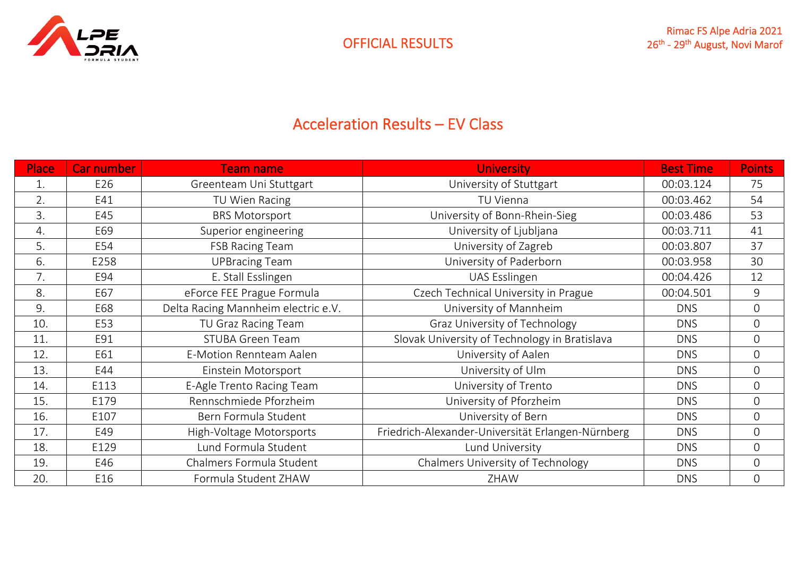

## Acceleration Results – EV Class

| <b>Place</b> | <b>Car number</b> | <b>Team name</b>                    | <b>University</b>                                 | <b>Best Time</b> | <b>Points</b>  |
|--------------|-------------------|-------------------------------------|---------------------------------------------------|------------------|----------------|
| 1.           | E26               | Greenteam Uni Stuttgart             | University of Stuttgart                           | 00:03.124        | 75             |
| 2.           | E41               | TU Wien Racing                      | TU Vienna                                         | 00:03.462        | 54             |
| 3.           | E45               | <b>BRS Motorsport</b>               | University of Bonn-Rhein-Sieg                     | 00:03.486        | 53             |
| 4.           | E69               | Superior engineering                | University of Ljubljana                           | 00:03.711        | 41             |
| 5.           | E54               | <b>FSB Racing Team</b>              | University of Zagreb                              | 00:03.807        | 37             |
| 6.           | E258              | <b>UPBracing Team</b>               | University of Paderborn                           | 00:03.958        | 30             |
| 7.           | E94               | E. Stall Esslingen                  | UAS Esslingen                                     | 00:04.426        | 12             |
| 8.           | E67               | eForce FEE Prague Formula           | Czech Technical University in Prague              | 00:04.501        | 9              |
| 9.           | E68               | Delta Racing Mannheim electric e.V. | University of Mannheim                            | <b>DNS</b>       | $\overline{O}$ |
| 10.          | E53               | TU Graz Racing Team                 | Graz University of Technology                     | <b>DNS</b>       | $\overline{0}$ |
| 11.          | E91               | <b>STUBA Green Team</b>             | Slovak University of Technology in Bratislava     | <b>DNS</b>       | 0              |
| 12.          | E61               | E-Motion Rennteam Aalen             | University of Aalen                               | <b>DNS</b>       | $\overline{0}$ |
| 13.          | E44               | Einstein Motorsport                 | University of Ulm                                 | <b>DNS</b>       | 0              |
| 14.          | E113              | E-Agle Trento Racing Team           | University of Trento                              | <b>DNS</b>       | $\overline{O}$ |
| 15.          | E179              | Rennschmiede Pforzheim              | University of Pforzheim                           | <b>DNS</b>       | 0              |
| 16.          | E107              | Bern Formula Student                | University of Bern                                | <b>DNS</b>       | 0              |
| 17.          | E49               | High-Voltage Motorsports            | Friedrich-Alexander-Universität Erlangen-Nürnberg | <b>DNS</b>       | 0              |
| 18.          | E129              | Lund Formula Student                | Lund University                                   | <b>DNS</b>       | $\overline{0}$ |
| 19.          | E46               | Chalmers Formula Student            | Chalmers University of Technology                 | <b>DNS</b>       | 0              |
| 20.          | E16               | Formula Student ZHAW                | ZHAW                                              | <b>DNS</b>       | 0              |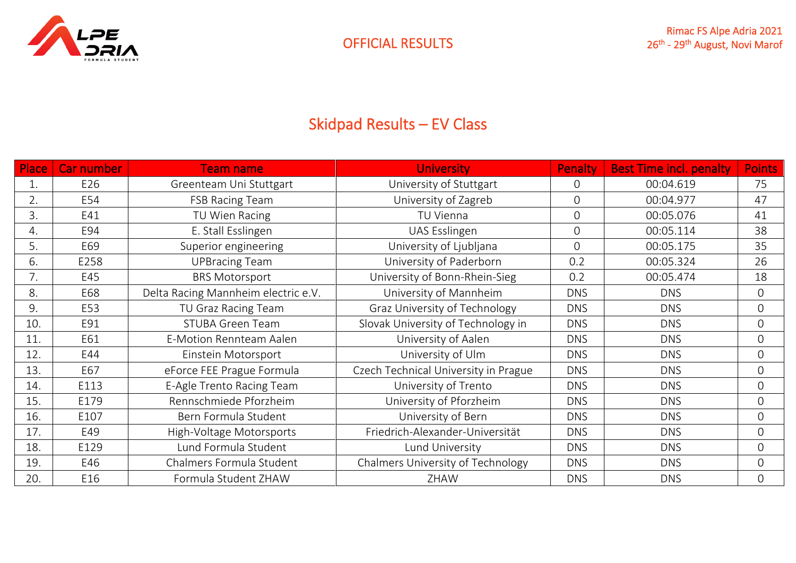

# Skidpad Results – EV Class

| Place | Car number | <b>Team name</b>                    | <b>University</b>                    | <b>Penalty</b> | <b>Best Time incl. penalty</b> | <b>Points</b>  |
|-------|------------|-------------------------------------|--------------------------------------|----------------|--------------------------------|----------------|
|       | E26        | Greenteam Uni Stuttgart             | University of Stuttgart              |                | 00:04.619                      | 75             |
| 2.    | E54        | <b>FSB Racing Team</b>              | University of Zagreb                 |                | 00:04.977                      | 47             |
| 3.    | E41        | TU Wien Racing                      | TU Vienna                            | $\mathbf 0$    | 00:05.076                      | 41             |
| 4.    | E94        | E. Stall Esslingen                  | UAS Esslingen                        | $\overline{O}$ | 00:05.114                      | 38             |
| 5.    | E69        | Superior engineering                | University of Ljubljana              | $\overline{0}$ | 00:05.175                      | 35             |
| 6.    | E258       | <b>UPBracing Team</b>               | University of Paderborn              | 0.2            | 00:05.324                      | 26             |
| 7.    | E45        | <b>BRS Motorsport</b>               | University of Bonn-Rhein-Sieg        | 0.2            | 00:05.474                      | 18             |
| 8.    | E68        | Delta Racing Mannheim electric e.V. | University of Mannheim               | <b>DNS</b>     | <b>DNS</b>                     | $\overline{0}$ |
| 9.    | E53        | TU Graz Racing Team                 | Graz University of Technology        | <b>DNS</b>     | <b>DNS</b>                     | $\overline{0}$ |
| 10.   | E91        | <b>STUBA Green Team</b>             | Slovak University of Technology in   | <b>DNS</b>     | <b>DNS</b>                     | $\overline{O}$ |
| 11.   | E61        | E-Motion Rennteam Aalen             | University of Aalen                  | <b>DNS</b>     | <b>DNS</b>                     | $\overline{0}$ |
| 12.   | E44        | Einstein Motorsport                 | University of Ulm                    | <b>DNS</b>     | <b>DNS</b>                     | $\overline{O}$ |
| 13.   | E67        | eForce FEE Prague Formula           | Czech Technical University in Prague | <b>DNS</b>     | <b>DNS</b>                     | $\overline{O}$ |
| 14.   | E113       | E-Agle Trento Racing Team           | University of Trento                 | <b>DNS</b>     | <b>DNS</b>                     | $\overline{O}$ |
| 15.   | E179       | Rennschmiede Pforzheim              | University of Pforzheim              | <b>DNS</b>     | <b>DNS</b>                     | $\overline{0}$ |
| 16.   | E107       | Bern Formula Student                | University of Bern                   | <b>DNS</b>     | <b>DNS</b>                     | $\Omega$       |
| 17.   | E49        | High-Voltage Motorsports            | Friedrich-Alexander-Universität      | <b>DNS</b>     | <b>DNS</b>                     | $\overline{0}$ |
| 18.   | E129       | Lund Formula Student                | Lund University                      | <b>DNS</b>     | <b>DNS</b>                     | $\Omega$       |
| 19.   | E46        | Chalmers Formula Student            | Chalmers University of Technology    | <b>DNS</b>     | <b>DNS</b>                     | $\mathbf 0$    |
| 20.   | E16        | Formula Student ZHAW                | ZHAW                                 | <b>DNS</b>     | <b>DNS</b>                     | $\overline{O}$ |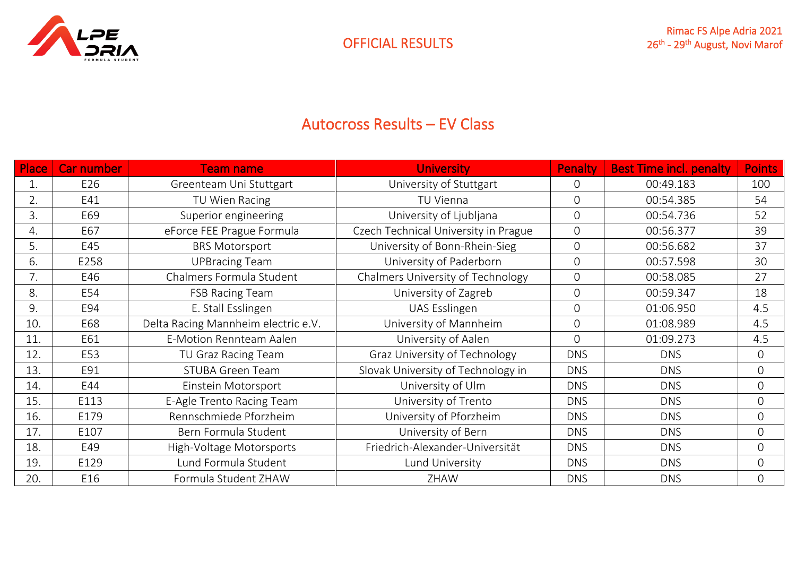

#### Autocross Results – EV Class

| <b>Place</b> | <b>Car number</b> | <b>Team name</b>                    | <b>University</b>                    | Penalty        | <b>Best Time incl. penalty</b> | <b>Points</b>  |
|--------------|-------------------|-------------------------------------|--------------------------------------|----------------|--------------------------------|----------------|
| 1.           | E26               | Greenteam Uni Stuttgart             | University of Stuttgart              |                | 00:49.183                      | 100            |
| 2.           | E41               | TU Wien Racing                      | TU Vienna                            |                | 00:54.385                      | 54             |
| 3.           | E69               | Superior engineering                | University of Ljubljana              | $\overline{0}$ | 00:54.736                      | 52             |
| 4.           | E67               | eForce FEE Prague Formula           | Czech Technical University in Prague | $\overline{O}$ | 00:56.377                      | 39             |
| 5.           | E45               | <b>BRS Motorsport</b>               | University of Bonn-Rhein-Sieg        | $\overline{0}$ | 00:56.682                      | 37             |
| 6.           | E258              | <b>UPBracing Team</b>               | University of Paderborn              | $\overline{0}$ | 00:57.598                      | 30             |
| 7.           | E46               | Chalmers Formula Student            | Chalmers University of Technology    | $\overline{O}$ | 00:58.085                      | 27             |
| 8.           | E54               | <b>FSB Racing Team</b>              | University of Zagreb                 | $\overline{0}$ | 00:59.347                      | 18             |
| 9.           | E94               | E. Stall Esslingen                  | UAS Esslingen                        | $\overline{0}$ | 01:06.950                      | 4.5            |
| 10.          | E68               | Delta Racing Mannheim electric e.V. | University of Mannheim               | $\overline{0}$ | 01:08.989                      | 4.5            |
| 11.          | E61               | E-Motion Rennteam Aalen             | University of Aalen                  | $\overline{0}$ | 01:09.273                      | 4.5            |
| 12.          | E53               | TU Graz Racing Team                 | Graz University of Technology        | <b>DNS</b>     | <b>DNS</b>                     | $\Omega$       |
| 13.          | E91               | <b>STUBA Green Team</b>             | Slovak University of Technology in   | <b>DNS</b>     | <b>DNS</b>                     | $\Omega$       |
| 14.          | E44               | Einstein Motorsport                 | University of Ulm                    | <b>DNS</b>     | <b>DNS</b>                     | $\overline{O}$ |
| 15.          | E113              | E-Agle Trento Racing Team           | University of Trento                 | <b>DNS</b>     | <b>DNS</b>                     | $\overline{0}$ |
| 16.          | E179              | Rennschmiede Pforzheim              | University of Pforzheim              | <b>DNS</b>     | <b>DNS</b>                     | $\overline{0}$ |
| 17.          | E107              | Bern Formula Student                | University of Bern                   | <b>DNS</b>     | <b>DNS</b>                     | $\Omega$       |
| 18.          | E49               | High-Voltage Motorsports            | Friedrich-Alexander-Universität      | <b>DNS</b>     | <b>DNS</b>                     | $\Omega$       |
| 19.          | E129              | Lund Formula Student                | Lund University                      | <b>DNS</b>     | <b>DNS</b>                     | $\overline{O}$ |
| 20.          | E16               | Formula Student ZHAW                | ZHAW                                 | <b>DNS</b>     | <b>DNS</b>                     | $\Omega$       |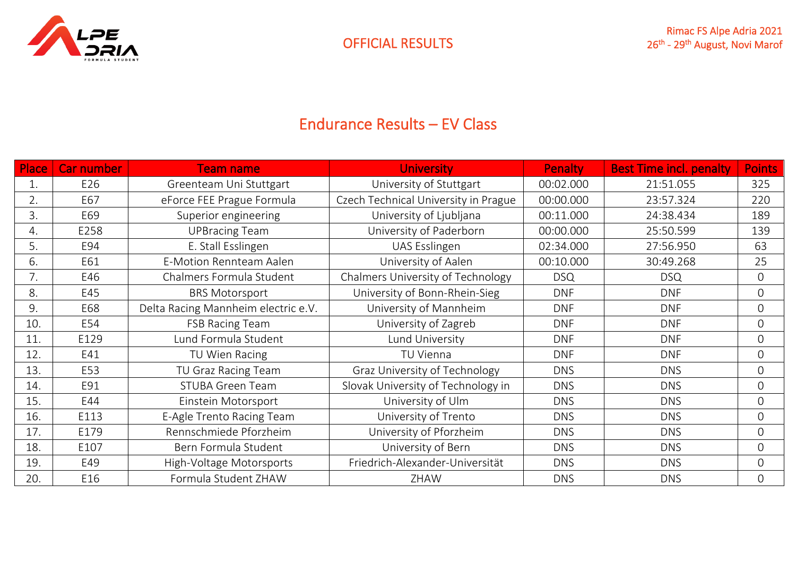

## Endurance Results – EV Class

| Place | <b>Car number</b> | <b>Team name</b>                    | <b>University</b><br><b>Penalty</b>  |            | <b>Best Time incl. penalty</b> | <b>Points</b>  |
|-------|-------------------|-------------------------------------|--------------------------------------|------------|--------------------------------|----------------|
| 1.    | E26               | Greenteam Uni Stuttgart             | University of Stuttgart<br>00:02.000 |            | 21:51.055                      | 325            |
| 2.    | E67               | eForce FEE Prague Formula           | Czech Technical University in Prague | 00:00.000  | 23:57.324                      | 220            |
| 3.    | E69               | Superior engineering                | University of Ljubljana              | 00:11.000  | 24:38.434                      | 189            |
| 4.    | E258              | <b>UPBracing Team</b>               | University of Paderborn              | 00:00.000  | 25:50.599                      | 139            |
| 5.    | E94               | E. Stall Esslingen                  | UAS Esslingen                        | 02:34.000  | 27:56.950                      | 63             |
| 6.    | E61               | E-Motion Rennteam Aalen             | University of Aalen                  | 00:10.000  | 30:49.268                      | 25             |
| 7.    | E46               | Chalmers Formula Student            | Chalmers University of Technology    | <b>DSQ</b> | <b>DSQ</b>                     | $\Omega$       |
| 8.    | E45               | <b>BRS Motorsport</b>               | University of Bonn-Rhein-Sieg        | <b>DNF</b> | <b>DNF</b>                     | $\overline{O}$ |
| 9.    | E68               | Delta Racing Mannheim electric e.V. | University of Mannheim               | <b>DNF</b> |                                | $\overline{O}$ |
| 10.   | E54               | <b>FSB Racing Team</b>              | University of Zagreb                 | <b>DNF</b> | <b>DNF</b>                     | $\mathbf 0$    |
| 11.   | E129              | Lund Formula Student                | Lund University                      | <b>DNF</b> | <b>DNF</b>                     | $\overline{O}$ |
| 12.   | E41               | TU Wien Racing                      | TU Vienna                            | <b>DNF</b> | <b>DNF</b>                     | $\overline{O}$ |
| 13.   | E53               | TU Graz Racing Team                 | Graz University of Technology        | <b>DNS</b> | <b>DNS</b>                     | $\Omega$       |
| 14.   | E91               | <b>STUBA Green Team</b>             | Slovak University of Technology in   | <b>DNS</b> | <b>DNS</b>                     | $\overline{O}$ |
| 15.   | E44               | Einstein Motorsport                 | University of Ulm                    | <b>DNS</b> | <b>DNS</b>                     | $\overline{O}$ |
| 16.   | E113              | E-Agle Trento Racing Team           | University of Trento                 | <b>DNS</b> | <b>DNS</b>                     | $\overline{O}$ |
| 17.   | E179              | Rennschmiede Pforzheim              | University of Pforzheim              | <b>DNS</b> | <b>DNS</b>                     | $\overline{O}$ |
| 18.   | E107              | Bern Formula Student                | University of Bern                   | <b>DNS</b> | <b>DNS</b>                     | $\overline{O}$ |
| 19.   | E49               | High-Voltage Motorsports            | Friedrich-Alexander-Universität      | <b>DNS</b> | <b>DNS</b>                     | $\overline{O}$ |
| 20.   | E16               | Formula Student ZHAW                | ZHAW                                 | <b>DNS</b> | <b>DNS</b>                     | $\overline{O}$ |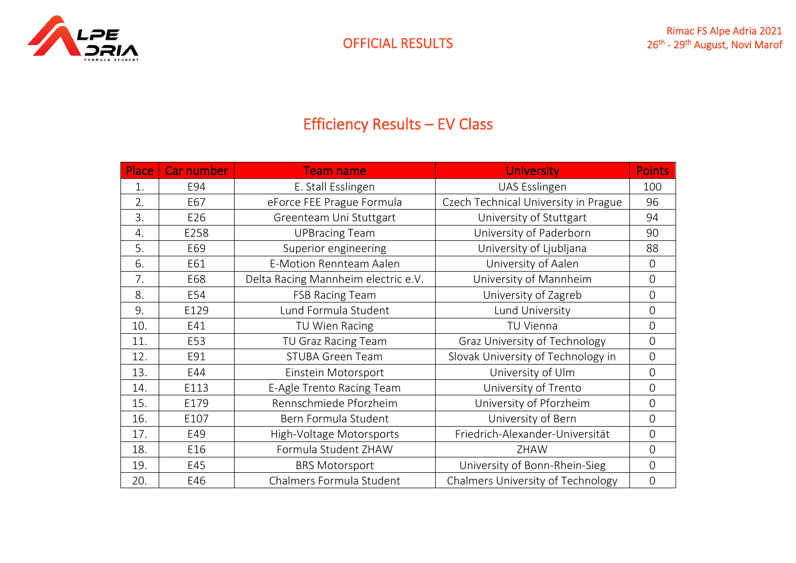

# Efficiency Results – EV Class

| Place | <b>Car number</b> | <b>Team name</b>                    | <b>University</b>                    | <b>Points</b>  |
|-------|-------------------|-------------------------------------|--------------------------------------|----------------|
| 1.    | E94               | E. Stall Esslingen                  | UAS Esslingen                        | 100            |
| 2.    | E67               | eForce FEE Prague Formula           | Czech Technical University in Prague | 96             |
| 3.    | E26               | Greenteam Uni Stuttgart             | University of Stuttgart              | 94             |
| 4.    | E258              | <b>UPBracing Team</b>               | University of Paderborn              | 90             |
| 5.    | E69               | Superior engineering                | University of Ljubljana              | 88             |
| 6.    | E61               | E-Motion Rennteam Aalen             | University of Aalen                  | $\overline{0}$ |
| 7.    | E68               | Delta Racing Mannheim electric e.V. | University of Mannheim               | $\overline{0}$ |
| 8.    | E54               | <b>FSB Racing Team</b>              | University of Zagreb                 | $\overline{0}$ |
| 9.    | E129              | Lund Formula Student                | Lund University                      |                |
| 10.   | E41               | TU Vienna<br>TU Wien Racing         |                                      | $\mathbf 0$    |
| 11.   | E53               | TU Graz Racing Team                 | Graz University of Technology        | $\overline{0}$ |
| 12.   | E91               | <b>STUBA Green Team</b>             | Slovak University of Technology in   | $\overline{0}$ |
| 13.   | E44               | Einstein Motorsport                 | University of Ulm                    | $\overline{0}$ |
| 14.   | E113              | E-Agle Trento Racing Team           | University of Trento                 | $\overline{0}$ |
| 15.   | E179              | Rennschmiede Pforzheim              | University of Pforzheim              | $\mathbf 0$    |
| 16.   | E107              | Bern Formula Student                | University of Bern                   | $\overline{0}$ |
| 17.   | E49               | High-Voltage Motorsports            | Friedrich-Alexander-Universität      | $\mathbf 0$    |
| 18.   | E16               | Formula Student ZHAW                | ZHAW                                 | $\overline{0}$ |
| 19.   | E45               | <b>BRS Motorsport</b>               | University of Bonn-Rhein-Sieg        | $\overline{0}$ |
| 20.   | E46               | Chalmers Formula Student            | Chalmers University of Technology    | $\mathbf 0$    |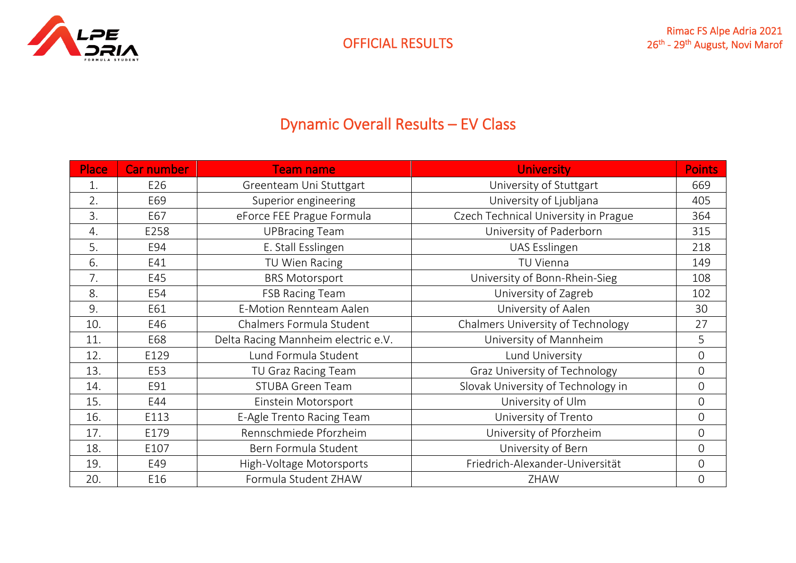

# Dynamic Overall Results – EV Class

| <b>Place</b> | <b>Car number</b> | <b>Team name</b>                    | <b>University</b>                    | <b>Points</b>  |
|--------------|-------------------|-------------------------------------|--------------------------------------|----------------|
| 1.           | E26               | Greenteam Uni Stuttgart             | University of Stuttgart              | 669            |
| 2.           | E69               | Superior engineering                | University of Ljubljana              | 405            |
| 3.           | E67               | eForce FEE Prague Formula           | Czech Technical University in Prague | 364            |
| 4.           | E258              | <b>UPBracing Team</b>               | University of Paderborn              | 315            |
| 5.           | E94               | E. Stall Esslingen                  | UAS Esslingen                        | 218            |
| 6.           | E41               | TU Wien Racing                      | TU Vienna                            | 149            |
| 7.           | E45               | <b>BRS Motorsport</b>               | University of Bonn-Rhein-Sieg        | 108            |
| 8.           | E54               | <b>FSB Racing Team</b>              | University of Zagreb                 | 102            |
| 9.           | E61               | <b>E-Motion Rennteam Aalen</b>      | University of Aalen                  | 30             |
| 10.          | E46               | Chalmers Formula Student            | Chalmers University of Technology    | 27             |
| 11.          | E68               | Delta Racing Mannheim electric e.V. | University of Mannheim               | 5              |
| 12.          | E129              | Lund Formula Student                | Lund University                      | $\overline{0}$ |
| 13.          | E53               | TU Graz Racing Team                 | Graz University of Technology        | $\overline{0}$ |
| 14.          | E91               | <b>STUBA Green Team</b>             | Slovak University of Technology in   | $\overline{0}$ |
| 15.          | E44               | Einstein Motorsport                 | University of Ulm                    | $\overline{0}$ |
| 16.          | E113              | E-Agle Trento Racing Team           | University of Trento                 | $\mathbf 0$    |
| 17.          | E179              | Rennschmiede Pforzheim              | University of Pforzheim              | $\overline{0}$ |
| 18.          | E107              | Bern Formula Student                | University of Bern                   | $\overline{0}$ |
| 19.          | E49               | High-Voltage Motorsports            | Friedrich-Alexander-Universität      | $\overline{0}$ |
| 20.          | E16               | Formula Student ZHAW                | ZHAW                                 | $\mathbf 0$    |